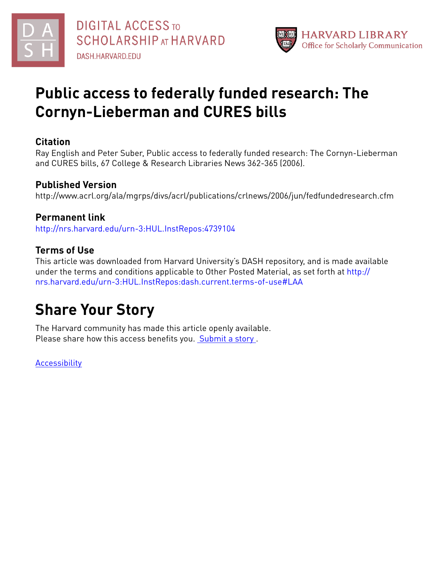



# **Public access to federally funded research: The Cornyn-Lieberman and CURES bills**

### **Citation**

Ray English and Peter Suber, Public access to federally funded research: The Cornyn-Lieberman and CURES bills, 67 College & Research Libraries News 362-365 (2006).

# **Published Version**

http://www.acrl.org/ala/mgrps/divs/acrl/publications/crlnews/2006/jun/fedfundedresearch.cfm

# **Permanent link**

<http://nrs.harvard.edu/urn-3:HUL.InstRepos:4739104>

# **Terms of Use**

This article was downloaded from Harvard University's DASH repository, and is made available under the terms and conditions applicable to Other Posted Material, as set forth at [http://](http://nrs.harvard.edu/urn-3:HUL.InstRepos:dash.current.terms-of-use#LAA) [nrs.harvard.edu/urn-3:HUL.InstRepos:dash.current.terms-of-use#LAA](http://nrs.harvard.edu/urn-3:HUL.InstRepos:dash.current.terms-of-use#LAA)

# **Share Your Story**

The Harvard community has made this article openly available. Please share how this access benefits you. [Submit](http://osc.hul.harvard.edu/dash/open-access-feedback?handle=&title=Public%20access%20to%20federally%20funded%20research:%20The%20Cornyn-Lieberman%20and%20CURES%20bills&community=1/3874488&collection=1/3874489&owningCollection1/3874489&harvardAuthors=920d7a55cd90418d2dcfbc9c5449e289&department) a story.

**[Accessibility](https://dash.harvard.edu/pages/accessibility)**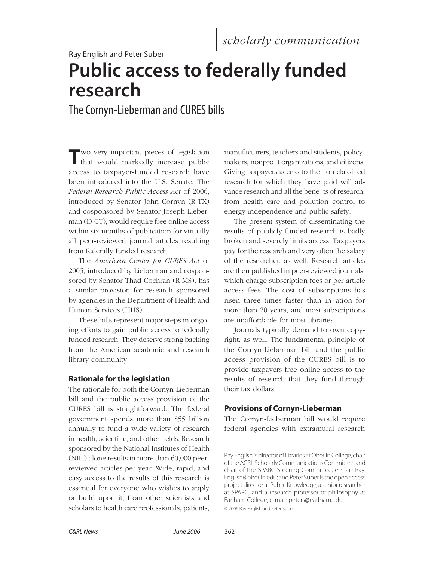Ray English and Peter Suber

# **Public access to federally funded research**

The Cornyn-Lieberman and CURES bills

**T**wo very important pieces of legislation that would markedly increase public access to taxpayer-funded research have been introduced into the U.S. Senate. The *Federal Research Public Access Act* of 2006, introduced by Senator John Cornyn (R-TX) and cosponsored by Senator Joseph Lieberman (D-CT), would require free online access within six months of publication for virtually all peer-reviewed journal articles resulting from federally funded research.

The *American Center for CURES Act* of 2005, introduced by Lieberman and cosponsored by Senator Thad Cochran (R-MS), has a similar provision for research sponsored by agencies in the Department of Health and Human Services (HHS).

These bills represent major steps in ongoing efforts to gain public access to federally funded research. They deserve strong backing from the American academic and research library community.

### **Rationale for the legislation**

The rationale for both the Cornyn-Lieberman bill and the public access provision of the CURES bill is straightforward. The federal government spends more than \$55 billion annually to fund a wide variety of research in health, scienti c, and other elds. Research sponsored by the National Institutes of Health (NIH) alone results in more than 60,000 peerreviewed articles per year. Wide, rapid, and easy access to the results of this research is essential for everyone who wishes to apply or build upon it, from other scientists and scholars to health care professionals, patients, manufacturers, teachers and students, policymakers, nonpro t organizations, and citizens. Giving taxpayers access to the non-classi ed research for which they have paid will advance research and all the bene ts of research, from health care and pollution control to energy independence and public safety.

The present system of disseminating the results of publicly funded research is badly broken and severely limits access. Taxpayers pay for the research and very often the salary of the researcher, as well. Research articles are then published in peer-reviewed journals, which charge subscription fees or per-article access fees. The cost of subscriptions has risen three times faster than in ation for more than 20 years, and most subscriptions are unaffordable for most libraries.

Journals typically demand to own copyright, as well. The fundamental principle of the Cornyn-Lieberman bill and the public access provision of the CURES bill is to provide taxpayers free online access to the results of research that they fund through their tax dollars.

### **Provisions of Cornyn-Lieberman**

The Cornyn-Lieberman bill would require federal agencies with extramural research

Ray English is director of libraries at Oberlin College, chair of the ACRL Scholarly Communications Committee, and chair of the SPARC Steering Committee, e-mail: Ray. English@oberlin.edu; and Peter Suber is the open access project director at Public Knowledge, a senior researcher at SPARC, and a research professor of philosophy at Earlham College, e-mail: peters@earlham.edu © 2006 Ray English and Peter Suber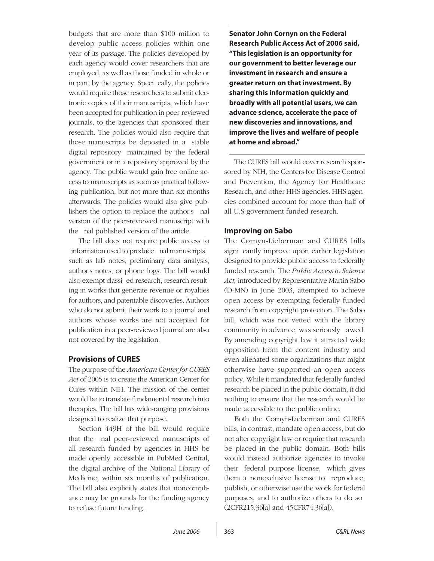budgets that are more than \$100 million to develop public access policies within one year of its passage. The policies developed by each agency would cover researchers that are employed, as well as those funded in whole or in part, by the agency. Speci cally, the policies would require those researchers to submit electronic copies of their manuscripts, which have been accepted for publication in peer-reviewed journals, to the agencies that sponsored their research. The policies would also require that those manuscripts be deposited in a stable digital repository maintained by the federal government or in a repository approved by the agency. The public would gain free online access to manuscripts as soon as practical following publication, but not more than six months afterwards. The policies would also give publishers the option to replace the authors nal version of the peer-reviewed manuscript with the nal published version of the article.

The bill does not require public access to information used to produce nal manuscripts, such as lab notes, preliminary data analysis, author's notes, or phone logs. The bill would also exempt classi ed research, research resulting in works that generate revenue or royalties for authors, and patentable discoveries. Authors who do not submit their work to a journal and authors whose works are not accepted for publication in a peer-reviewed journal are also not covered by the legislation.

#### **Provisions of CURES**

The purpose of the *American Center for CURES Act* of 2005 is to create the American Center for Cures within NIH. The mission of the center would be to translate fundamental research into therapies. The bill has wide-ranging provisions designed to realize that purpose.

Section 449H of the bill would require that the nal peer-reviewed manuscripts of all research funded by agencies in HHS be made openly accessible in PubMed Central, the digital archive of the National Library of Medicine, within six months of publication. The bill also explicitly states that noncompliance may be grounds for the funding agency to refuse future funding.

**Senator John Cornyn on the Federal Research Public Access Act of 2006 said, "This legislation is an opportunity for our government to better leverage our investment in research and ensure a greater return on that investment. By sharing this information quickly and broadly with all potential users, we can advance science, accelerate the pace of new discoveries and innovations, and improve the lives and welfare of people at home and abroad."** 

The CURES bill would cover research sponsored by NIH, the Centers for Disease Control and Prevention, the Agency for Healthcare Research, and other HHS agencies. HHS agencies combined account for more than half of all U.S government funded research.

#### **Improving on Sabo**

The Cornyn-Lieberman and CURES bills signi cantly improve upon earlier legislation designed to provide public access to federally funded research. The *Public Access to Science Act,* introduced by Representative Martin Sabo (DMN) in June 2003, attempted to achieve open access by exempting federally funded research from copyright protection. The Sabo bill, which was not vetted with the library community in advance, was seriously awed. By amending copyright law it attracted wide opposition from the content industry and even alienated some organizations that might otherwise have supported an open access policy. While it mandated that federally funded research be placed in the public domain, it did nothing to ensure that the research would be made accessible to the public online.

Both the Cornyn-Lieberman and CURES bills, in contrast, mandate open access, but do not alter copyright law or require that research be placed in the public domain. Both bills would instead authorize agencies to invoke their federal purpose license, which gives them a nonexclusive license to reproduce, publish, or otherwise use the work for federal purposes, and to authorize others to do so (2CFR215.36[a] and 45CFR74.36[a]).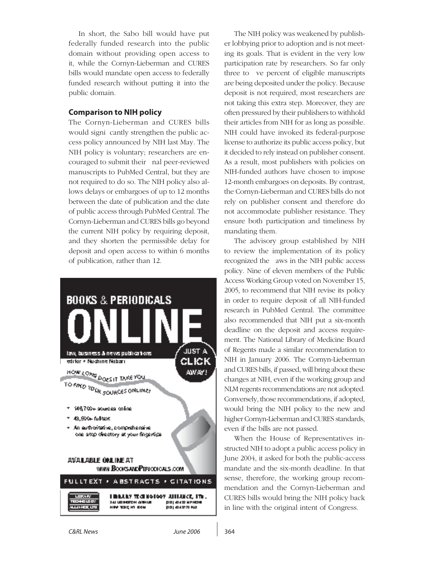In short, the Sabo bill would have put federally funded research into the public domain without providing open access to it, while the Cornyn-Lieberman and CURES bills would mandate open access to federally funded research without putting it into the public domain.

#### **Comparison to NIH policy**

The Cornyn-Lieberman and CURES bills would signi cantly strengthen the public access policy announced by NIH last May. The NIH policy is voluntary; researchers are encouraged to submit their nal peer-reviewed manuscripts to PubMed Central, but they are not required to do so. The NIH policy also allows delays or embargoes of up to 12 months between the date of publication and the date of public access through PubMed Central. The Cornyn-Lieberman and CURES bills go beyond the current NIH policy by requiring deposit, and they shorten the permissible delay for deposit and open access to within 6 months of publication, rather than 12.



The NIH policy was weakened by publisher lobbying prior to adoption and is not meeting its goals. That is evident in the very low participation rate by researchers. So far only three to ve percent of eligible manuscripts are being deposited under the policy. Because deposit is not required, most researchers are not taking this extra step. Moreover, they are often pressured by their publishers to withhold their articles from NIH for as long as possible. NIH could have invoked its federal-purpose license to authorize its public access policy, but it decided to rely instead on publisher consent. As a result, most publishers with policies on NIH-funded authors have chosen to impose 12-month embargoes on deposits. By contrast, the Cornyn-Lieberman and CURES bills do not rely on publisher consent and therefore do not accommodate publisher resistance. They ensure both participation and timeliness by mandating them.

The advisory group established by NIH to review the implementation of its policy recognized the aws in the NIH public access policy. Nine of eleven members of the Public Access Working Group voted on November 15, 2005, to recommend that NIH revise its policy in order to require deposit of all NIH-funded research in PubMed Central. The committee also recommended that NIH put a six-month deadline on the deposit and access requirement. The National Library of Medicine Board of Regents made a similar recommendation to NIH in January 2006. The Cornyn-Lieberman and CURES bills, if passed, will bring about these changes at NIH, even if the working group and NLM regents recommendations are not adopted. Conversely, those recommendations, if adopted, would bring the NIH policy to the new and higher Cornyn-Lieberman and CURES standards, even if the bills are not passed.

When the House of Representatives instructed NIH to adopt a public access policy in June 2004, it asked for both the publicaccess mandate and the six-month deadline. In that sense, therefore, the working group recommendation and the Cornyn-Lieberman and CURES bills would bring the NIH policy back in line with the original intent of Congress.